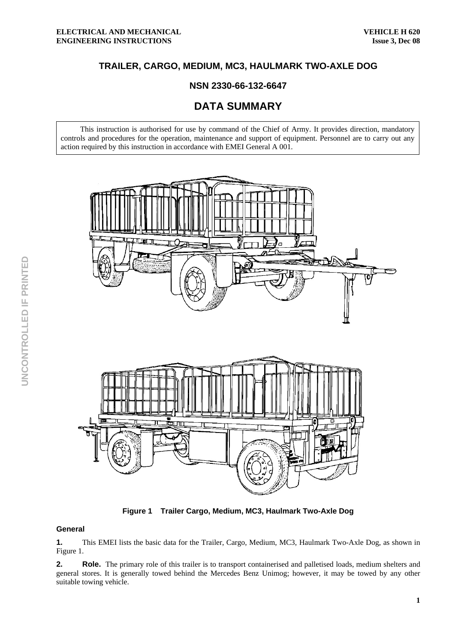# **TRAILER, CARGO, MEDIUM, MC3, HAULMARK TWO-AXLE DOG**

## **NSN 2330-66-132-6647**

# **DATA SUMMARY**

This instruction is authorised for use by command of the Chief of Army. It provides direction, mandatory controls and procedures for the operation, maintenance and support of equipment. Personnel are to carry out any action required by this instruction in accordance with EMEI General A 001.



**Figure 1 Trailer Cargo, Medium, MC3, Haulmark Two-Axle Dog** 

#### **General**

**1.** This EMEI lists the basic data for the Trailer, Cargo, Medium, MC3, Haulmark Two-Axle Dog, as shown in Figure 1.

**2.** Role. The primary role of this trailer is to transport containerised and palletised loads, medium shelters and general stores. It is generally towed behind the Mercedes Benz Unimog; however, it may be towed by any other suitable towing vehicle.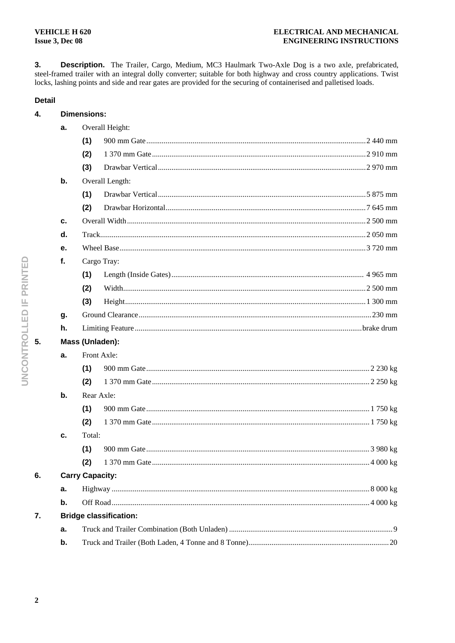**Dimensions:** 

 $3.$ Description. The Trailer, Cargo, Medium, MC3 Haulmark Two-Axle Dog is a two axle, prefabricated, steel-framed trailer with an integral dolly converter; suitable for both highway and cross country applications. Twist locks, lashing points and side and rear gates are provided for the securing of containerised and palletised loads.

### **Detail**

 $\overline{4}$ .

|    | a.            |                               | Overall Height: |  |  |  |  |  |  |
|----|---------------|-------------------------------|-----------------|--|--|--|--|--|--|
|    |               | (1)                           |                 |  |  |  |  |  |  |
|    |               | (2)                           |                 |  |  |  |  |  |  |
|    |               | (3)                           |                 |  |  |  |  |  |  |
|    | b.            |                               | Overall Length: |  |  |  |  |  |  |
|    |               | (1)                           |                 |  |  |  |  |  |  |
|    |               | (2)                           |                 |  |  |  |  |  |  |
|    | c.            |                               |                 |  |  |  |  |  |  |
|    | d.            |                               |                 |  |  |  |  |  |  |
|    | е.            |                               |                 |  |  |  |  |  |  |
|    | f.            |                               | Cargo Tray:     |  |  |  |  |  |  |
|    |               | (1)                           |                 |  |  |  |  |  |  |
|    |               | (2)                           |                 |  |  |  |  |  |  |
|    |               | (3)                           |                 |  |  |  |  |  |  |
|    | g.            |                               |                 |  |  |  |  |  |  |
|    | h.            |                               |                 |  |  |  |  |  |  |
| 5. |               | Mass (Unladen):               |                 |  |  |  |  |  |  |
|    | a.            |                               | Front Axle:     |  |  |  |  |  |  |
|    |               | (1)                           |                 |  |  |  |  |  |  |
|    |               | (2)                           |                 |  |  |  |  |  |  |
|    | b.            |                               | Rear Axle:      |  |  |  |  |  |  |
|    |               | (1)                           |                 |  |  |  |  |  |  |
|    |               | (2)                           |                 |  |  |  |  |  |  |
|    | c.            | Total:                        |                 |  |  |  |  |  |  |
|    |               | (1)                           |                 |  |  |  |  |  |  |
|    |               | (2)                           |                 |  |  |  |  |  |  |
| 6. |               | <b>Carry Capacity:</b>        |                 |  |  |  |  |  |  |
|    | a.            |                               |                 |  |  |  |  |  |  |
|    | $\mathbf b$ . |                               |                 |  |  |  |  |  |  |
| 7. |               | <b>Bridge classification:</b> |                 |  |  |  |  |  |  |
|    | a.            |                               |                 |  |  |  |  |  |  |
|    | b.            |                               |                 |  |  |  |  |  |  |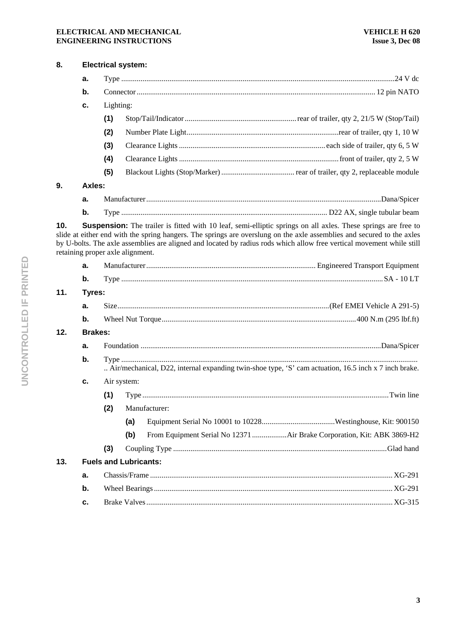#### **ELECTRICAL AND MECHANICAL ENGINEERING INSTRUCTIONS**

| 8.            | <b>Electrical system:</b>    |                                                                                                      |     |                                                                                                                                                                                                                                                                                                                                                                         |  |  |  |  |  |
|---------------|------------------------------|------------------------------------------------------------------------------------------------------|-----|-------------------------------------------------------------------------------------------------------------------------------------------------------------------------------------------------------------------------------------------------------------------------------------------------------------------------------------------------------------------------|--|--|--|--|--|
|               | а.                           |                                                                                                      |     |                                                                                                                                                                                                                                                                                                                                                                         |  |  |  |  |  |
|               | b.                           |                                                                                                      |     |                                                                                                                                                                                                                                                                                                                                                                         |  |  |  |  |  |
|               | c.                           | Lighting:                                                                                            |     |                                                                                                                                                                                                                                                                                                                                                                         |  |  |  |  |  |
|               |                              | (1)                                                                                                  |     |                                                                                                                                                                                                                                                                                                                                                                         |  |  |  |  |  |
|               |                              | (2)                                                                                                  |     |                                                                                                                                                                                                                                                                                                                                                                         |  |  |  |  |  |
|               |                              | (3)                                                                                                  |     |                                                                                                                                                                                                                                                                                                                                                                         |  |  |  |  |  |
|               |                              | (4)                                                                                                  |     |                                                                                                                                                                                                                                                                                                                                                                         |  |  |  |  |  |
|               |                              | (5)                                                                                                  |     |                                                                                                                                                                                                                                                                                                                                                                         |  |  |  |  |  |
| 9.            |                              | Axles:                                                                                               |     |                                                                                                                                                                                                                                                                                                                                                                         |  |  |  |  |  |
|               | a.                           |                                                                                                      |     |                                                                                                                                                                                                                                                                                                                                                                         |  |  |  |  |  |
|               | b.                           |                                                                                                      |     |                                                                                                                                                                                                                                                                                                                                                                         |  |  |  |  |  |
| 10.           |                              | retaining proper axle alignment.                                                                     |     | <b>Suspension:</b> The trailer is fitted with 10 leaf, semi-elliptic springs on all axles. These springs are free to<br>slide at either end with the spring hangers. The springs are overslung on the axle assemblies and secured to the axles<br>by U-bolts. The axle assemblies are aligned and located by radius rods which allow free vertical movement while still |  |  |  |  |  |
|               | a.                           |                                                                                                      |     |                                                                                                                                                                                                                                                                                                                                                                         |  |  |  |  |  |
|               | $\mathbf b$ .                |                                                                                                      |     |                                                                                                                                                                                                                                                                                                                                                                         |  |  |  |  |  |
| 11.<br>Tyres: |                              |                                                                                                      |     |                                                                                                                                                                                                                                                                                                                                                                         |  |  |  |  |  |
|               | a.                           |                                                                                                      |     |                                                                                                                                                                                                                                                                                                                                                                         |  |  |  |  |  |
|               | b.                           |                                                                                                      |     |                                                                                                                                                                                                                                                                                                                                                                         |  |  |  |  |  |
| 12.           |                              | <b>Brakes:</b>                                                                                       |     |                                                                                                                                                                                                                                                                                                                                                                         |  |  |  |  |  |
|               | a.                           |                                                                                                      |     |                                                                                                                                                                                                                                                                                                                                                                         |  |  |  |  |  |
|               | b.                           | Air/mechanical, D22, internal expanding twin-shoe type, 'S' cam actuation, 16.5 inch x 7 inch brake. |     |                                                                                                                                                                                                                                                                                                                                                                         |  |  |  |  |  |
|               | c.                           | Air system:                                                                                          |     |                                                                                                                                                                                                                                                                                                                                                                         |  |  |  |  |  |
|               |                              | (1)                                                                                                  |     |                                                                                                                                                                                                                                                                                                                                                                         |  |  |  |  |  |
|               |                              | (2)                                                                                                  |     | Manufacturer:                                                                                                                                                                                                                                                                                                                                                           |  |  |  |  |  |
|               |                              |                                                                                                      | (a) |                                                                                                                                                                                                                                                                                                                                                                         |  |  |  |  |  |
|               |                              |                                                                                                      | (b) | From Equipment Serial No 12371 Air Brake Corporation, Kit: ABK 3869-H2                                                                                                                                                                                                                                                                                                  |  |  |  |  |  |
|               |                              | (3)                                                                                                  |     |                                                                                                                                                                                                                                                                                                                                                                         |  |  |  |  |  |
| 13.           | <b>Fuels and Lubricants:</b> |                                                                                                      |     |                                                                                                                                                                                                                                                                                                                                                                         |  |  |  |  |  |
|               | a.                           |                                                                                                      |     |                                                                                                                                                                                                                                                                                                                                                                         |  |  |  |  |  |
|               | b.                           |                                                                                                      |     |                                                                                                                                                                                                                                                                                                                                                                         |  |  |  |  |  |

**c.** Brake Valves ................................................................................................................................ XG-315